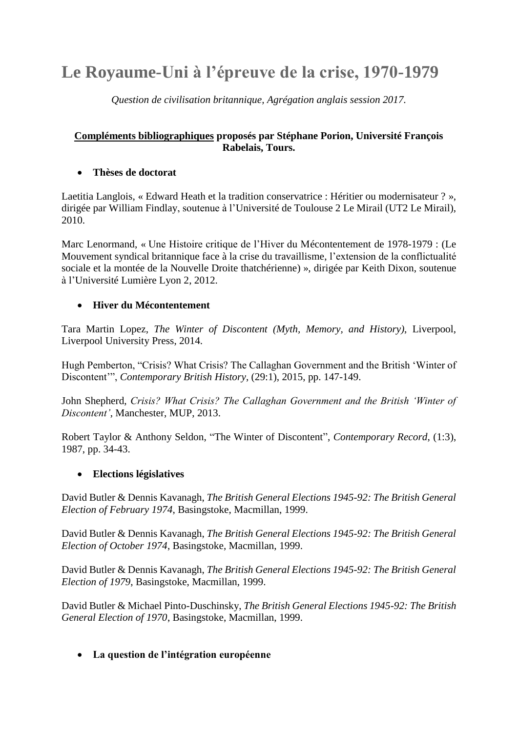# **Le Royaume-Uni à l'épreuve de la crise, 1970-1979**

*Question de civilisation britannique, Agrégation anglais session 2017.*

### **Compléments bibliographiques proposés par Stéphane Porion, Université François Rabelais, Tours.**

## **Thèses de doctorat**

Laetitia Langlois, « Edward Heath et la tradition conservatrice : Héritier ou modernisateur ? », dirigée par William Findlay, soutenue à l'Université de Toulouse 2 Le Mirail (UT2 Le Mirail), 2010.

Marc Lenormand, « Une Histoire critique de l'Hiver du Mécontentement de 1978-1979 : (Le Mouvement syndical britannique face à la crise du travaillisme, l'extension de la conflictualité sociale et la montée de la Nouvelle Droite thatchérienne) », dirigée par Keith Dixon, soutenue à l'Université Lumière Lyon 2, 2012.

## **Hiver du Mécontentement**

Tara Martin Lopez, *The Winter of Discontent (Myth, Memory, and History)*, Liverpool, Liverpool University Press, 2014.

Hugh Pemberton, "Crisis? What Crisis? The Callaghan Government and the British 'Winter of Discontent'", *Contemporary British History*, (29:1), 2015, pp. 147-149.

John Shepherd, *Crisis? What Crisis? The Callaghan Government and the British 'Winter of Discontent'*, Manchester, MUP, 2013.

Robert Taylor & Anthony Seldon, "The Winter of Discontent", *Contemporary Record*, (1:3), 1987, pp. 34-43.

#### **Elections législatives**

David Butler & Dennis Kavanagh, *The British General Elections 1945-92: The British General Election of February 1974*, Basingstoke, Macmillan, 1999.

David Butler & Dennis Kavanagh, *The British General Elections 1945-92: The British General Election of October 1974*, Basingstoke, Macmillan, 1999.

David Butler & Dennis Kavanagh, *The British General Elections 1945-92: The British General Election of 1979*, Basingstoke, Macmillan, 1999.

David Butler & Michael Pinto-Duschinsky, *The British General Elections 1945-92: The British General Election of 1970*, Basingstoke, Macmillan, 1999.

#### **La question de l'intégration européenne**